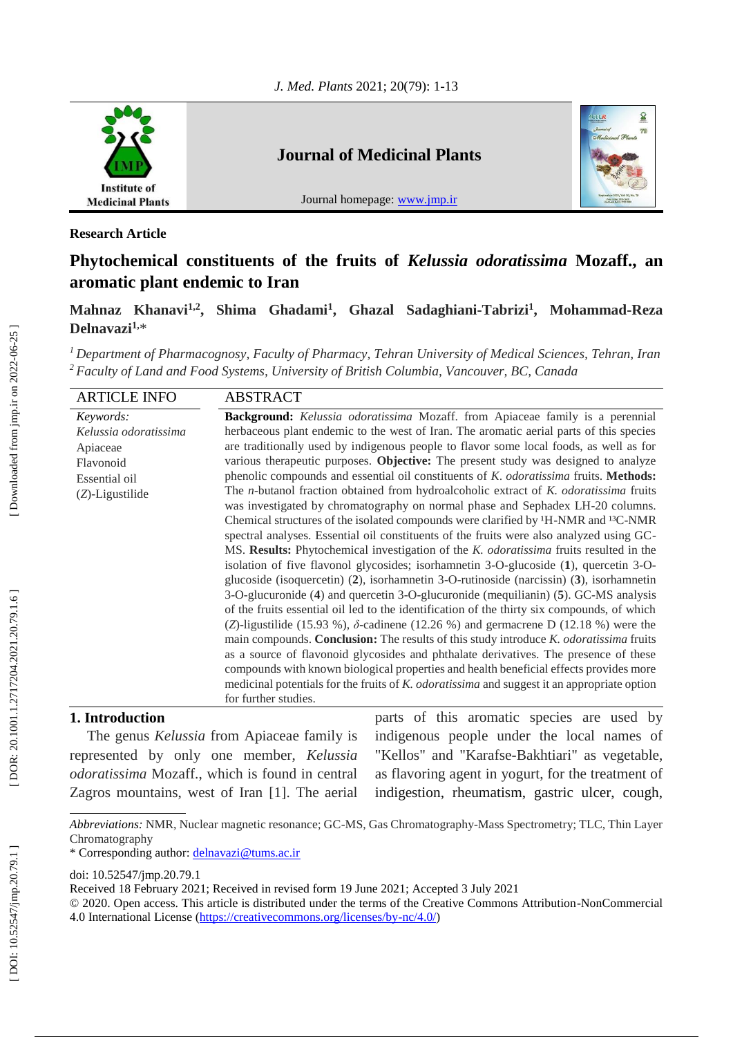

**Research Article**

# **Phytochemical constituents of the fruits of** *Kelussia odoratissima* **Mozaff., an aromatic plant endemic to Iran**

**Mahnaz Khanavi1,2, Shima Ghadami 1 , Ghazal Sadaghiani -Tabrizi 1 , Mohammad -Reza Delnavazi 1 ,** \*

*<sup>1</sup>Department of Pharmacognosy, Faculty of Pharmacy, Tehran University of Medical Sciences, Tehran, Iran <sup>2</sup>Faculty of Land and Food Systems, University of British Columbia, Vancouver, BC, Canada*

| <b>ARTICLE INFO</b>   | <b>ABSTRACT</b>                                                                                                                                                                                                                                                                                                                                                                                                                                                                                                                                                                                                                                                                                                                                                                                                                                                                                                                                                                                                                                                                                                                                              |
|-----------------------|--------------------------------------------------------------------------------------------------------------------------------------------------------------------------------------------------------------------------------------------------------------------------------------------------------------------------------------------------------------------------------------------------------------------------------------------------------------------------------------------------------------------------------------------------------------------------------------------------------------------------------------------------------------------------------------------------------------------------------------------------------------------------------------------------------------------------------------------------------------------------------------------------------------------------------------------------------------------------------------------------------------------------------------------------------------------------------------------------------------------------------------------------------------|
| Keywords:             | <b>Background:</b> Kelussia odoratissima Mozaff. from Apiaceae family is a perennial                                                                                                                                                                                                                                                                                                                                                                                                                                                                                                                                                                                                                                                                                                                                                                                                                                                                                                                                                                                                                                                                         |
| Kelussia odoratissima | herbaceous plant endemic to the west of Iran. The aromatic aerial parts of this species                                                                                                                                                                                                                                                                                                                                                                                                                                                                                                                                                                                                                                                                                                                                                                                                                                                                                                                                                                                                                                                                      |
| Apiaceae              | are traditionally used by indigenous people to flavor some local foods, as well as for                                                                                                                                                                                                                                                                                                                                                                                                                                                                                                                                                                                                                                                                                                                                                                                                                                                                                                                                                                                                                                                                       |
| Flavonoid             | various therapeutic purposes. Objective: The present study was designed to analyze                                                                                                                                                                                                                                                                                                                                                                                                                                                                                                                                                                                                                                                                                                                                                                                                                                                                                                                                                                                                                                                                           |
| Essential oil         | phenolic compounds and essential oil constituents of K. odoratissima fruits. Methods:                                                                                                                                                                                                                                                                                                                                                                                                                                                                                                                                                                                                                                                                                                                                                                                                                                                                                                                                                                                                                                                                        |
| $(Z)$ -Ligustilide    | The <i>n</i> -butanol fraction obtained from hydroalcoholic extract of <i>K. odoratissima</i> fruits<br>was investigated by chromatography on normal phase and Sephadex LH-20 columns.<br>Chemical structures of the isolated compounds were clarified by <sup>1</sup> H-NMR and <sup>13</sup> C-NMR<br>spectral analyses. Essential oil constituents of the fruits were also analyzed using GC-<br>MS. Results: Phytochemical investigation of the <i>K. odoratissima</i> fruits resulted in the<br>isolation of five flavonol glycosides; isorhamnetin 3-O-glucoside (1), quercetin 3-O-<br>glucoside (isoquercetin) (2), isorhamnetin 3-O-rutinoside (narcissin) (3), isorhamnetin<br>3-O-glucuronide (4) and quercetin 3-O-glucuronide (mequilianin) (5). GC-MS analysis<br>of the fruits essential oil led to the identification of the thirty six compounds, of which<br>(Z)-ligustilide (15.93 %), $\delta$ -cadinene (12.26 %) and germacrene D (12.18 %) were the<br>main compounds. Conclusion: The results of this study introduce K. odoratissima fruits<br>as a source of flavonoid glycosides and phthalate derivatives. The presence of these |
|                       | compounds with known biological properties and health beneficial effects provides more                                                                                                                                                                                                                                                                                                                                                                                                                                                                                                                                                                                                                                                                                                                                                                                                                                                                                                                                                                                                                                                                       |
|                       | medicinal potentials for the fruits of K. <i>odoratissima</i> and suggest it an appropriate option                                                                                                                                                                                                                                                                                                                                                                                                                                                                                                                                                                                                                                                                                                                                                                                                                                                                                                                                                                                                                                                           |
|                       | for further studies.                                                                                                                                                                                                                                                                                                                                                                                                                                                                                                                                                                                                                                                                                                                                                                                                                                                                                                                                                                                                                                                                                                                                         |

# **1. Introduction**

The genus *Kelussia* from Apiaceae family is represented by only one member, *Kelussia odoratissima* Mozaff., which is found in central Zagros mountains, west of Iran [1]. The aerial parts of this aromatic species are used by indigenous people under the local names of "Kellos" and "Karafse -Bakhtiari" as vegetable, as flavoring agent in yogurt, for the treatment of indigestion, rheumatism, gastric ulcer, cough,

*Abbreviations:* NMR, Nuclear magnetic resonance; GC -MS, Gas Chromatography -Mass Spectrometry; TLC, Thin Layer Chromatography

<sup>\*</sup> Corresponding author: [delnavazi@tums.ac.ir](file:///G:/No%2079%201400.06%20EN/3%203058%20delnavazi/delnavazi@tums.ac.ir)

doi: [10.52547/jmp.20.79.1](http://dx.doi.org/10.52547/jmp.20.79.1)

Received 18 February 202 1; Received in revised form 19 June 2021; Accepted 3 July 2021

<sup>© 2020.</sup> Open access. This article is distributed under the terms of the Creative Commons Attribution -NonCommercial 4.0 International License [\(https://creativecommons.org/licenses/by](https://creativecommons.org/licenses/by-nc/4.0/)-nc/4.0/)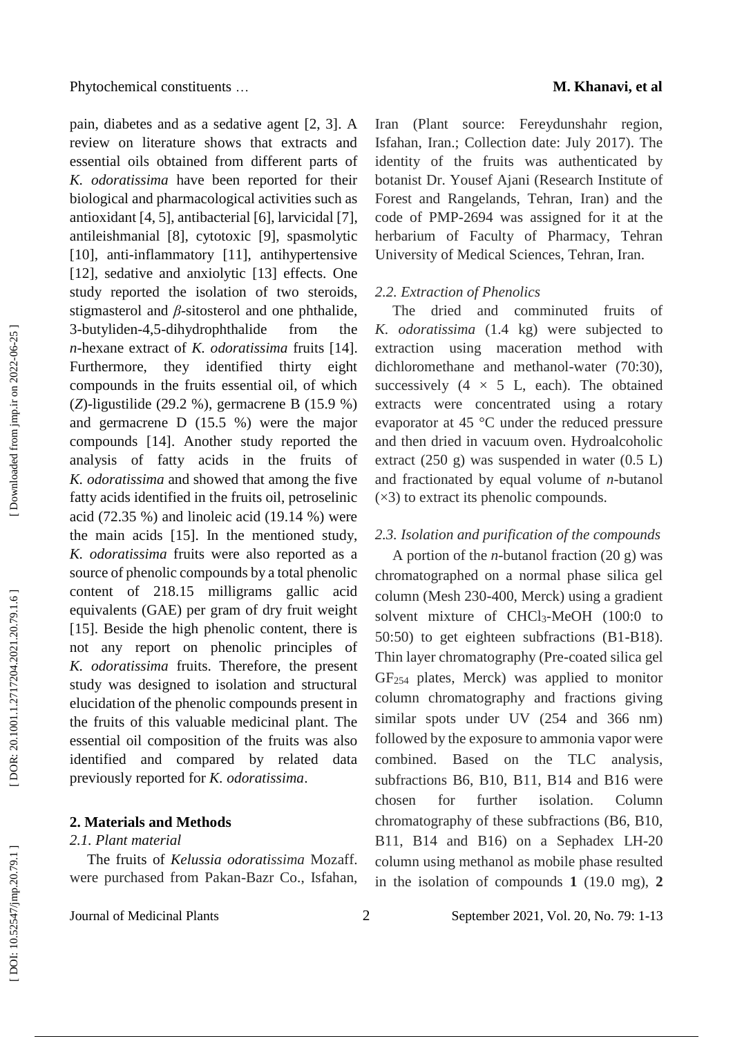pain, diabetes and as a sedative agent [2, 3]. A review on literature shows that extracts and essential oils obtained from different parts of *K. odoratissima* have been reported for their biological and pharmacological activities such as antioxidant [4, 5], antibacterial [6], larvicidal [7], antileishmanial [8], cytotoxic [9], spasmolytic [10], anti-inflammatory [11], antihypertensive [12], sedative and anxiolytic [13] effects. One study reported the isolation of two steroids, stigmasterol and  $\beta$ -sitosterol and one phthalide, 3 -butyliden -4,5 -dihydrophthalide from the *n* -hexane extract of *K. odoratissima* fruits [14]. Furthermore, they identified thirty eight compounds in the fruits essential oil, of which (*Z*)-ligustilide (29.2 %), germacrene B (15.9 %) and germacrene D (15.5 %) were the major compounds [14]. Another study reported the analysis of fatty acids in the fruits of *K. odoratissima* and showed that among the five fatty acids identified in the fruits oil, petroselinic acid (72.35 %) and linoleic acid (19.14 %) were the main acids [15]. In the mentioned study, *K. odoratissima* fruits were also reported as a source of phenolic compounds by a total phenolic content of 218.15 milligrams gallic acid equivalents (GAE) per gram of dry fruit weight [15]. Beside the high phenolic content, there is not any report on phenolic principles of *K. odoratissima* fruits. Therefore, the present study was designed to isolation and structural elucidation of the phenolic compounds present in the fruits of this valuable medicinal plant. The essential oil composition of the fruits was also identified and compared by related data previously reported for *K. odoratissima* .

## **2. Materials and Methods**

Journal of Medicinal Plants

### *2.1. Plant material*

The fruits of *Kelussia odoratissima* Mozaff. were purchased from Pakan -Bazr Co., Isfahan,

Iran (Plant source: Fereydunshahr region, Isfahan, Iran.; Collection date: July 2017). The identity of the fruits was authenticated by botanist Dr. Yousef Ajani (Research Institute of Forest and Rangelands, Tehran, Iran) and the code of PMP -2694 was assigned for it at the herbarium of Faculty of Pharmacy, Tehran University of Medical Sciences, Tehran, Iran.

### *2.2. Extraction of Phenolics*

The dried and comminuted fruits of *K. odoratissima* (1.4 kg) were subjected to extraction using maceration method with dichloromethane and methanol-water (70:30), successively  $(4 \times 5)$  L, each). The obtained extracts were concentrated using a rotary evaporator at 45 °C under the reduced pressure and then dried in vacuum oven. Hydroalcoholic extract (250 g) was suspended in water (0.5 L) and fractionated by equal volume of *n*-butanol  $(x3)$  to extract its phenolic compounds.

## *2.3. Isolation and purification of the compounds*

A portion of the *n* -butanol fraction (20 g) was chromatographed on a normal phase silica gel column (Mesh 230 -400, Merck) using a gradient solvent mixture of CHCl<sub>3</sub>-MeOH (100:0 to 50:50) to get eighteen subfractions (B1 -B18). Thin layer chromatography (Pre -coated silica gel GF<sup>254</sup> plates, Merck) was applied to monitor column chromatography and fractions giving similar spots under UV (254 and 366 nm) followed by the exposure to ammonia vapor were combined. Based on the TLC analysis, subfractions B6, B10, B11, B14 and B16 were chosen for further isolation. Column chromatography of these subfractions (B6, B10, B11, B14 and B16) on a Sephadex LH -20 column using methanol as mobile phase resulted in the isolation of compounds **1** (19.0 mg), **2**

Downloaded from jmp.ir on 2022-06-25 ]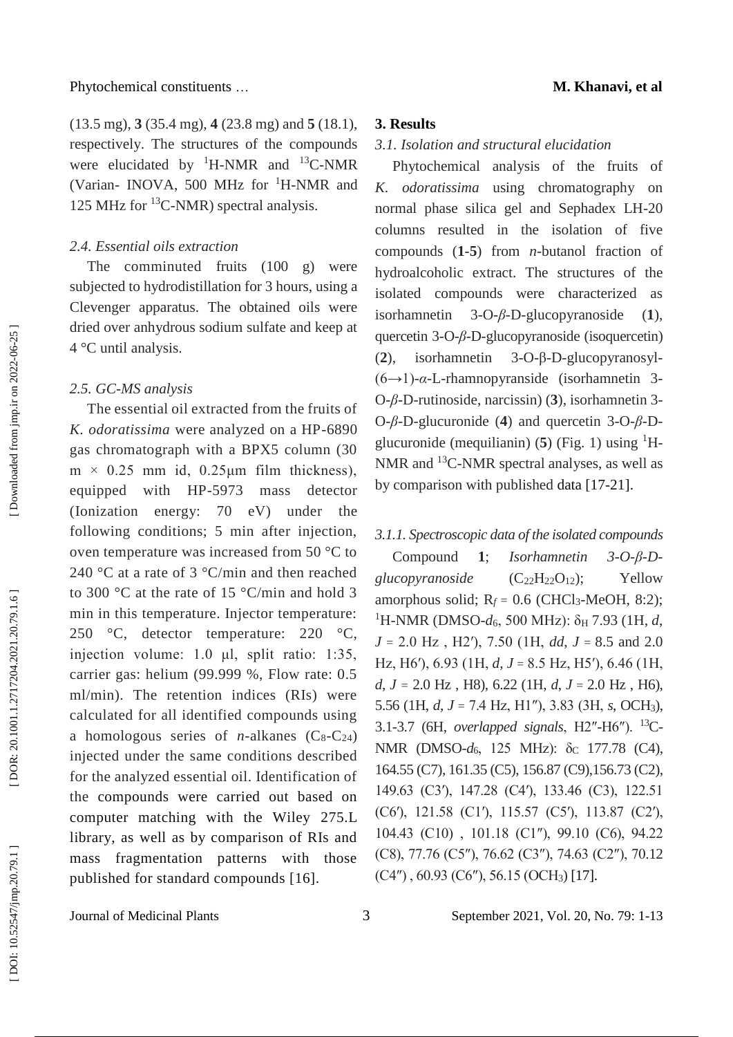(13.5 mg), **3** (35.4 mg), **4** (23.8 mg) and **5** (18.1), respectively. The structures of the compounds were elucidated by  ${}^{1}$ H-NMR and  ${}^{13}$ C-NMR (Varian- INOVA, 500 MHz for <sup>1</sup>H-NMR and 125 MHz for  $^{13}$ C-NMR) spectral analysis.

### *2.4. Essential oils extraction*

The comminuted fruits (100 g) were subjected to hydrodistillation for 3 hours, using a Clevenger apparatus. The obtained oils were dried over anhydrous sodium sulfate and keep at 4 °C until analysis.

### *2.5. GC -MS analysis*

The essential oil extracted from the fruits of *K. odoratissima* were analyzed on a HP -6890 gas chromatograph with a BPX5 column (30  $m \times 0.25$  mm id, 0.25 μm film thickness), equipped with HP -5973 mass detector (Ionization energy: 70 eV) under the following conditions; 5 min after injection, oven temperature was increased from 50 °C to 240 °C at a rate of 3 °C/min and then reached to 300 °C at the rate of 15 °C/min and hold 3 min in this temperature. Injector temperature: 250 °C, detector temperature: 220 °C, injection volume: 1.0 μl, split ratio: 1:35, carrier gas: helium (99.999 %, Flow rate: 0.5 ml/min). The retention indices (RIs) were calculated for all identified compounds using a homologous series of *n*-alkanes  $(C_8-C_{24})$ injected under the same conditions described for the analyzed essential oil. Identification of the compounds were carried out based on computer matching with the Wiley 275.L library, as well as by comparison of RIs and mass fragmentation patterns with those published for standard compounds [16] .

#### **3. Results**

# *3.1. Isolation and structural elucidation*

Phytochemical analysis of the fruits of *K. odoratissima* using chromatography on normal phase silica gel and Sephadex LH -20 columns resulted in the isolation of five compounds  $(1-5)$  from *n*-butanol fraction of hydroalcoholic extract. The structures of the isolated compounds were characterized as isorhamnetin 3 - O -*β* - D -glucopyranoside  $(1),$ quercetin 3-O-β-D-glucopyranoside (isoquercetin) ( **2** ), isorhamnetin  $3-O$ -β-D-glucopyranosyl-(6→1) - *α* - L -rhamnopyranside (isorhamnetin 3 - O-β-D-rutinoside, narcissin) (3), isorhamnetin 3-O-β-D-glucuronide (4) and quercetin 3-O-β-Dglucuronide (mequilianin)  $(5)$  (Fig. 1) using <sup>1</sup>H-NMR and <sup>13</sup>C-NMR spectral analyses, as well as by comparison with published data [17 -21].

# *3.1.1. Spectroscopic data of the isolated compounds*

Compound **1**; *Isorhamnetin 3 - O -β - D*   $glucovranoside$  $(C_{22}H_{22}O_{12})$ : Yellow amorphous solid;  $R_f = 0.6$  (CHCl<sub>3</sub>-MeOH, 8:2); <sup>1</sup>H-NMR (DMSO-d<sub>6</sub>, 500 MHz): δ<sub>H</sub> 7.93 (1H, d, *J*  = 2.0 Hz , H2′), 7.50 (1H, *dd*, *J* = 8.5 and 2.0 Hz, H6'), 6.93 (1H, *d*, *J* = 8.5 Hz, H5'), 6.46 (1H, *d*, *J =* 2.0 Hz , H8), 6.22 (1H, *d* , *J*  = 2.0 Hz , H6), 5.56 (1H, *d*, *J*  = 7.4 Hz, H1″), 3.83 (3H, *s*, OCH <sup>3</sup>), 3.1-3.7 (6H, *overlapped signals*, H2"-H6"). <sup>13</sup>C-NMR (DMSO-*d*<sub>6</sub>, 125 MHz): δ<sub>C</sub> 177.78 (C4), 164.55 (C7), 161.35 (C5), 156.87 (C9),156.73 (C2), 149.63 (C3′), 147.28 (C4′), 133.46 (C3), 122.51 (C6′), 121.58 (C1′), 115.57 (C5′), 113.87 (C2′), 104.43 (C10) , 101.18 (C1″), 99.10 (C6), 94.22 (C8), 77.76 (C5″), 76.62 (C3″), 74.63 (C2″), 70.12 (C4″) , 60.93 (C6″), 56.15 (OCH <sup>3</sup>) [17].

Downloaded from jmp.ir on 2022-06-25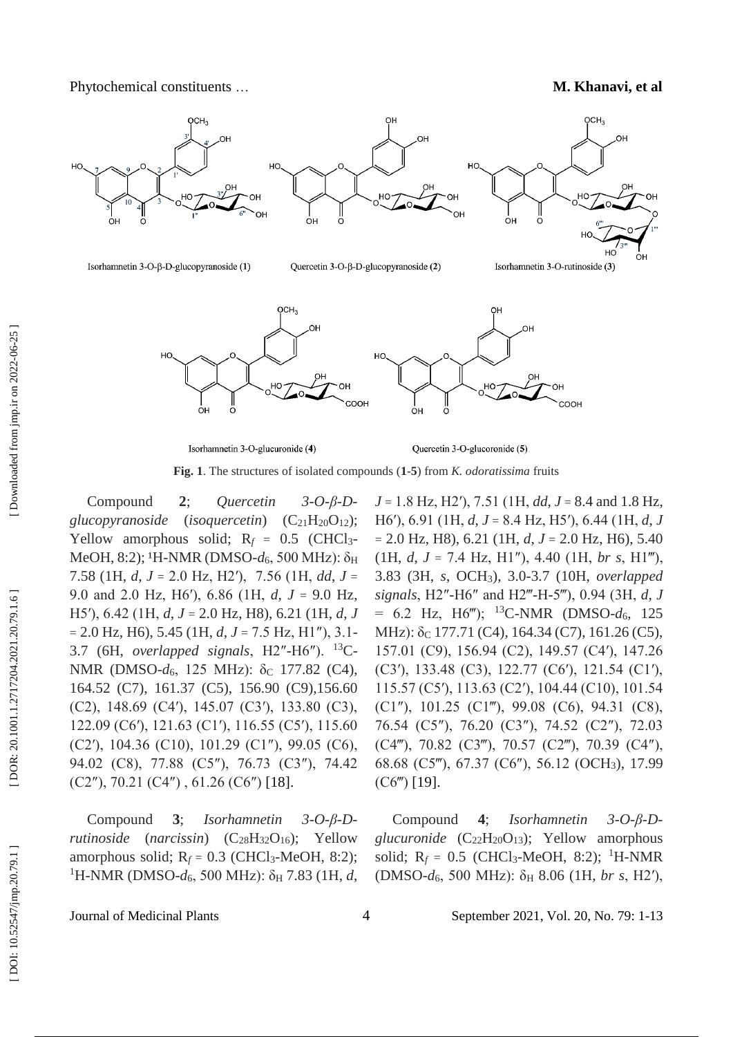



Isorhamnetin 3-O-glucuronide (4)

Quercetin 3-O-glucoronide (5)

**Fig . 1**. The structures of isolated compounds ( **1** - **5**) from *K. odoratissima* fruits

Compound **2**; *Quercetin 3 - O -β - D*  glucopyranoside (*isoquercetin*) (C<sub>21</sub>  $H<sub>20</sub>O<sub>12</sub>$ ; Yellow amorphous solid;  $R_f = 0.5$  (CHCl<sub>3</sub>-MeOH, 8:2); <sup>1</sup>H-NMR (DMSO-d<sub>6</sub>, 500 MHz): δ<sub>H</sub> 7.58 (1H, *d*, *J*  = 2.0 Hz, H2′), 7.56 (1H, *dd*, *J*  = 9.0 and 2.0 Hz, H6′), 6.86 (1H, *d*, *J*  = 9.0 Hz, H5′), 6.42 (1H, *d*, *J*  = 2.0 Hz, H8), 6.21 (1H, *d* , *J*   $= 2.0$  Hz, H<sub>6</sub>), 5.45 (1H,  $d, J = 7.5$  Hz, H<sub>1</sub>"), 3.1-3.7 (6H, *overlapped signals*,  $H2''-H6''$ ). <sup>13</sup>C-NMR (DMSO-*d*<sub>6</sub>, 125 MHz): δ<sub>C</sub> 177.82 (C4), 164.52 (C7), 161.37 (C5), 156.90 (C9),156.60 (C2), 148.69 (C4′), 145.07 (C3′), 133.80 (C3), 122.09 (C6′), 121.63 (C1′), 116.55 (C5′), 115.60 (C2′), 104.36 (C10), 101.29 (C1″), 99.05 (C6), 94.02 (C8), 77.88 (C5″), 76.73 (C3″), 74.42  $(C2'')$ , 70.21  $(C4'')$ , 61.26  $(C6'')$  [18].

Compound **3**; *Isorhamnetin 3 - O -β - D rutinoside* (*narcissin*) ( C<sup>28</sup> H<sup>32</sup> Yellow amorphous solid;  $R_f = 0.3$  (CHCl<sub>3</sub>-MeOH, 8:2); <sup>1</sup>H-NMR (DMSO-d<sub>6</sub>, 500 MHz): δ<sub>H</sub> 7.83 (1H, d,

*J*  = 1.8 Hz, H2′), 7.51 (1H, *dd*, *J*  = 8.4 and 1.8 Hz, H6′), 6.91 (1H, *d*, *J*  = 8.4 Hz, H5′), 6.44 (1H, *d*, *J*   $= 2.0$  Hz, H8), 6.21 (1H,  $d, J = 2.0$  Hz, H6), 5.40 (1H, *d*, *J*  = 7.4 Hz, H1″), 4.40 (1H, *br s*, H1‴), 3.83 (3H, *s*, OCH <sup>3</sup>), 3.0 -3.7 (10H, *overlapped signals*, H2″ -H6″ and H2‴ - H -5‴), 0.94 (3H, *d*, *J*   $= 6.2$  Hz, H6<sup>*m*</sup>); <sup>13</sup>C-NMR (DMSO- $d_6$ , 125 MHz): δ<sub>C</sub> 177.71 (C4), 164.34 (C7), 161.26 (C5), 157.01 (C9), 156.94 (C2), 149.57 (C4′), 147.26 (C3′), 133.48 (C3), 122.77 (C6′), 121.54 (C1′), 115.57 (C5′), 113.63 (C2′), 104.44 (C10), 101.54 (C1″), 101.25 (C1‴), 99.08 (C6), 94.31 (C8), 76.54 (C5″), 76.20 (C3″), 74.52 (C2″), 72.03 (C4‴), 70.82 (C3‴), 70.57 (C2‴), 70.39 (C4″), 68.68 (C5‴), 67.37 (C6″), 56.12 (OCH <sup>3</sup>), 17.99 (C6‴) [19].

Compound **4**; *Isorhamnetin 3 - O -β - D*  glucuronide (C<sub>22</sub>H<sub>20</sub>O<sub>13</sub>); Yellow amorphous solid;  $R_f = 0.5$  (CHCl<sub>3</sub>-MeOH, 8:2); <sup>1</sup>H-NMR (DMSO - *d* <sup>6</sup>, 500 MHz): δ <sup>H</sup> 8.06 (1H, *br s*, H2′),

Journal of Medicinal Plants

4 September 202 1, Vol. 20, No. 7 9: 1 -13

DOI: 10.52547/jmp.20.79.1]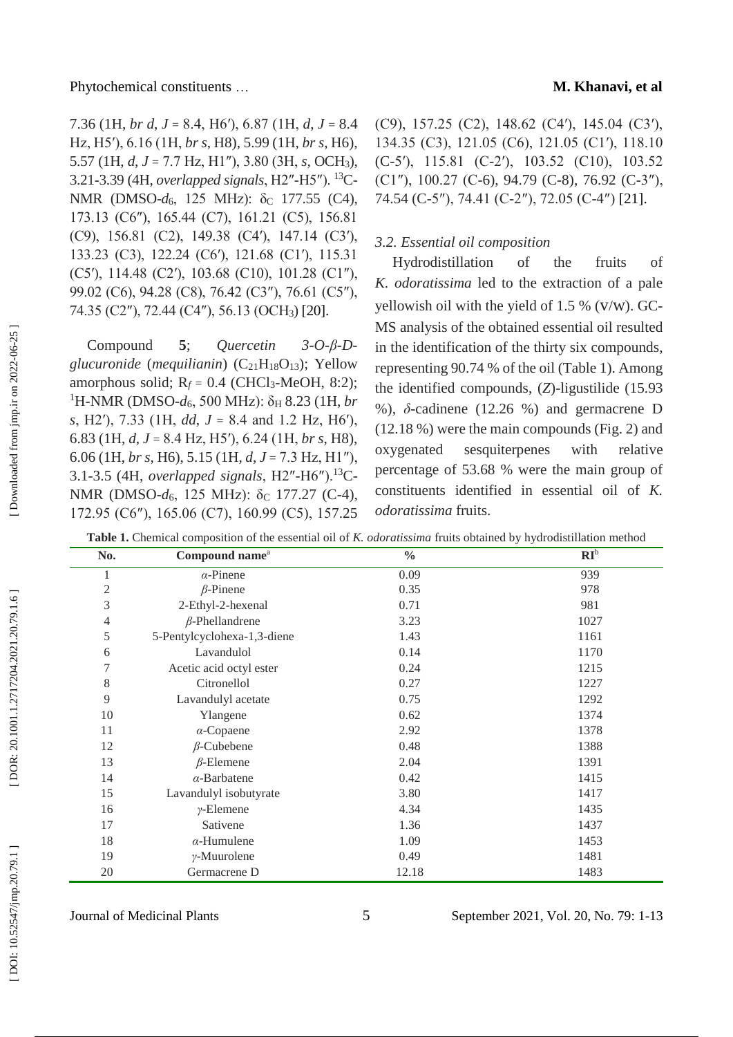Phytochemical constituents ...

7.36 (1H, *br d*, *J*  = 8.4, H6′), 6.87 (1H, *d*, *J*  = 8.4 Hz, H5′), 6.16 (1H, *br s*, H8), 5.99 (1H, *br s*, H6), 5.57 (1H, *d*, *J*  = 7.7 Hz, H1″), 3.80 (3H, *s*, OCH <sup>3</sup>), 3.21-3.39 (4H, *overlapped signals*, H2"-H5"). <sup>13</sup>C-NMR (DMSO-*d*<sub>6</sub>, 125 MHz): δ<sub>C</sub> 177.55 (C4), 173.13 (C6″), 165.44 (C7), 161.21 (C5), 156.81 (C9), 156.81 (C2), 149.38 (C4′), 147.14 (C3′), 133.23 (C3), 122.24 (C6′), 121.68 (C1′), 115.31 (C5′), 114.48 (C2′), 103.68 (C10), 101.28 (C1″), 99.02 (C6), 94.28 (C8), 76.42 (C3″), 76.61 (C5″), 74.35 (C2″), 72.44 (C4″), 56.13 (OCH3) [20].

Compound **5**; *Quercetin 3 - O -β - D*  glucuronide (mequilianin) (C<sub>21</sub>H<sub>18</sub>O<sub>13</sub>); Yellow amorphous solid;  $R_f = 0.4$  (CHCl<sub>3</sub>-MeOH, 8:2); <sup>1</sup>H-NMR (DMSO-d<sub>6</sub>, 500 MHz): δ<sub>H</sub> 8.23 (1H, *br s*, H2′), 7.33 (1H, *dd*, *J*  = 8.4 and 1.2 Hz, H6′), 6.83 (1H, *d*, *J*  = 8.4 Hz, H5′), 6.24 (1H, *br s*, H8), 6.06 (1H, *br s*, H6), 5.15 (1H, *d*, *J*  = 7.3 Hz, H1″), 3.1-3.5 (4H, *overlapped signals*, H2"-H6").<sup>13</sup>C-NMR (DMSO-*d*<sub>6</sub>, 125 MHz): δ<sub>C</sub> 177.27 (C-4), 172.95 (C6″), 165.06 (C7), 160.99 (C5), 157.25

(C9), 157.25 (C2), 148.62 (C4′), 145.04 (C3′), 134.35 (C3), 121.05 (C6), 121.05 (C1′), 118.10 (C -5′), 115.81 (C -2′), 103.52 (C10), 103.52 (C1″), 100.27 (C -6), 94.79 (C -8), 76.92 (C -3″), 74.54 (C -5″), 74.41 (C -2″), 72.05 (C -4″) [21].

### *3.2. Essential oil composition*

Hydrodistillation of the fruits of *K. odoratissima* led to the extraction of a pale yellowish oil with the yield of 1.5 % (V/W). GC-MS analysis of the obtained essential oil resulted in the identification of the thirty six compounds, representing 90.74 % of the oil (Table 1). Among the identified compounds, ( *Z*) -ligustilide (15.93 %),  $\delta$ -cadinene (12.26 %) and germacrene D (12.18 %) were the main compounds (Fig. 2) and oxygenated sesquiterpenes with relative percentage of 53.68 % were the main group of constituents identified in essential oil of *K. odoratissima* fruits .

**Table 1.** Chemical composition of the essential oil of *K. odoratissima* fruits obtained by hydrodistillation method

| <b>Table 1.</b> Chemical composition of the essential on of K. <i>000Tanssmia</i> frans obtained by hydrodistmation method |                             |               |        |  |  |
|----------------------------------------------------------------------------------------------------------------------------|-----------------------------|---------------|--------|--|--|
| No.                                                                                                                        | Compound name <sup>a</sup>  | $\frac{0}{0}$ | $RI^b$ |  |  |
| 1                                                                                                                          | $\alpha$ -Pinene            | 0.09          | 939    |  |  |
| $\mathfrak{2}$                                                                                                             | $\beta$ -Pinene             | 0.35          | 978    |  |  |
| 3                                                                                                                          | 2-Ethyl-2-hexenal           | 0.71          | 981    |  |  |
| 4                                                                                                                          | $\beta$ -Phellandrene       | 3.23          | 1027   |  |  |
| 5                                                                                                                          | 5-Pentylcyclohexa-1,3-diene | 1.43          | 1161   |  |  |
| 6                                                                                                                          | Lavandulol                  | 0.14          | 1170   |  |  |
| 7                                                                                                                          | Acetic acid octyl ester     | 0.24          | 1215   |  |  |
| 8                                                                                                                          | Citronellol                 | 0.27          | 1227   |  |  |
| 9                                                                                                                          | Lavandulyl acetate          | 0.75          | 1292   |  |  |
| 10                                                                                                                         | Ylangene                    | 0.62          | 1374   |  |  |
| 11                                                                                                                         | $\alpha$ -Copaene           | 2.92          | 1378   |  |  |
| 12                                                                                                                         | $\beta$ -Cubebene           | 0.48          | 1388   |  |  |
| 13                                                                                                                         | $\beta$ -Elemene            | 2.04          | 1391   |  |  |
| 14                                                                                                                         | $\alpha$ -Barbatene         | 0.42          | 1415   |  |  |
| 15                                                                                                                         | Lavandulyl isobutyrate      | 3.80          | 1417   |  |  |
| 16                                                                                                                         | $\nu$ -Elemene              | 4.34          | 1435   |  |  |
| 17                                                                                                                         | Sativene                    | 1.36          | 1437   |  |  |
| 18                                                                                                                         | $\alpha$ -Humulene          | 1.09          | 1453   |  |  |
| 19                                                                                                                         | $\gamma$ -Muurolene         | 0.49          | 1481   |  |  |
| 20                                                                                                                         | Germacrene D                | 12.18         | 1483   |  |  |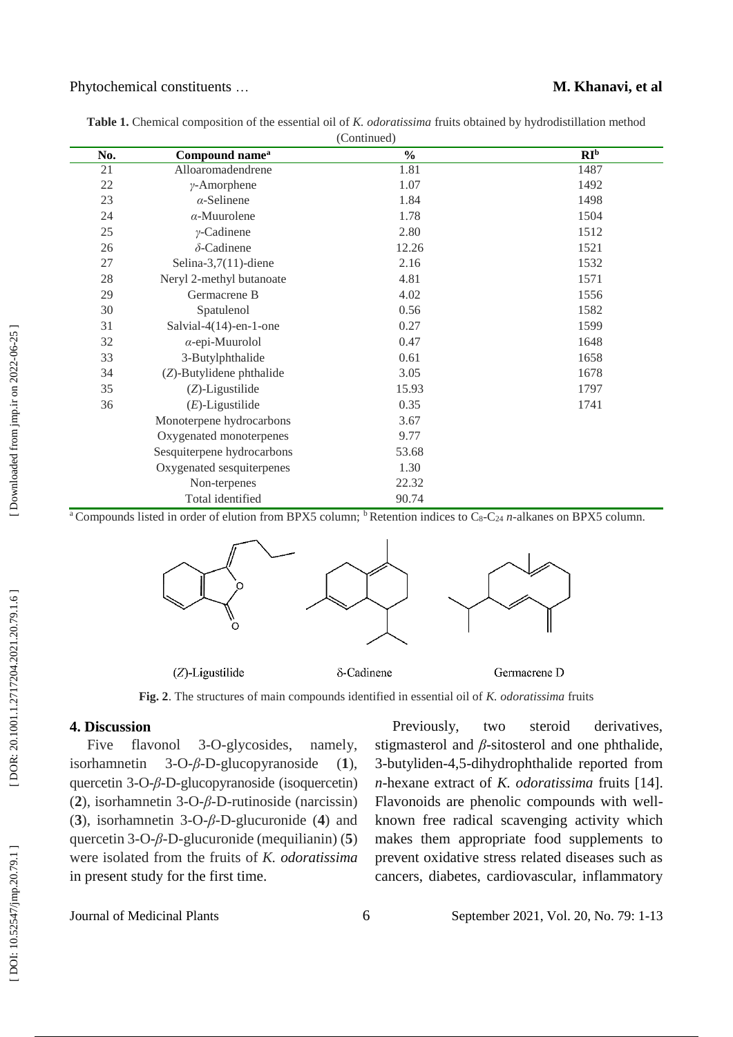### … **M. Khanavi, et al**

| No. | Compound name <sup>a</sup> | $\frac{0}{0}$ | RI <sup>b</sup> |
|-----|----------------------------|---------------|-----------------|
| 21  | Alloaromadendrene          | 1.81          | 1487            |
| 22  | $\gamma$ -Amorphene        | 1.07          | 1492            |
| 23  | $\alpha$ -Selinene         | 1.84          | 1498            |
| 24  | $\alpha$ -Muurolene        | 1.78          | 1504            |
| 25  | $\gamma$ -Cadinene         | 2.80          | 1512            |
| 26  | $\delta$ -Cadinene         | 12.26         | 1521            |
| 27  | Selina-3,7 $(11)$ -diene   | 2.16          | 1532            |
| 28  | Neryl 2-methyl butanoate   | 4.81          | 1571            |
| 29  | Germacrene B               | 4.02          | 1556            |
| 30  | Spatulenol                 | 0.56          | 1582            |
| 31  | Salvial-4(14)-en-1-one     | 0.27          | 1599            |
| 32  | $\alpha$ -epi-Muurolol     | 0.47          | 1648            |
| 33  | 3-Butylphthalide           | 0.61          | 1658            |
| 34  | (Z)-Butylidene phthalide   | 3.05          | 1678            |
| 35  | $(Z)$ -Ligustilide         | 15.93         | 1797            |
| 36  | $(E)$ -Ligustilide         | 0.35          | 1741            |
|     | Monoterpene hydrocarbons   | 3.67          |                 |
|     | Oxygenated monoterpenes    | 9.77          |                 |
|     | Sesquiterpene hydrocarbons | 53.68         |                 |
|     | Oxygenated sesquiterpenes  | 1.30          |                 |
|     | Non-terpenes               | 22.32         |                 |
|     | Total identified           | 90.74         |                 |

**Table 1.** Chemical composition of the essential oil of *K. odoratissima* fruits obtained by hydrodistillation method (Continued)

<sup>a</sup> Compounds listed in order of elution from BPX5 column; <sup>b</sup> Retention indices to C<sub>8</sub>-C<sub>24</sub> *n*-alkanes on BPX5 column.



 $(Z)$ -Ligustilide

δ-Cadinene

Germacrene D

**Fig. 2**. The structures of main compounds identified in essential oil of *K. odoratissima* fruits

### **4. Discussion**

Journal of Medicinal Plants

Five flavonol - O -glycosides, namely, isorhamnetin 3-O-β-D-glucopyranoside  $(1),$ quercetin 3-O-β-D-glucopyranoside (isoquercetin) ( **2** ), isorhamnetin 3 - O -*β* - D -rutinoside (narcissin) ( **3**), isorhamnetin 3 - O -*β* - D -glucuronide ( **4**) and quercetin 3-O-β-D-glucuronide (mequilianin) (5) were isolated from the fruits of *K. odoratissima* in present study for the first time.

Previously, two steroid derivatives, stigmasterol and  $\beta$ -sitosterol and one phthalide, 3 -butyliden -4,5 -dihydrophthalide reported from *n* -hexane extract of *K. odoratissima* fruits [14]. Flavonoids are phenolic compounds with well known free radical scavenging activity which makes them appropriate food supplements to prevent oxidative stress related diseases such as cancers, diabetes, cardiovascular, inflammatory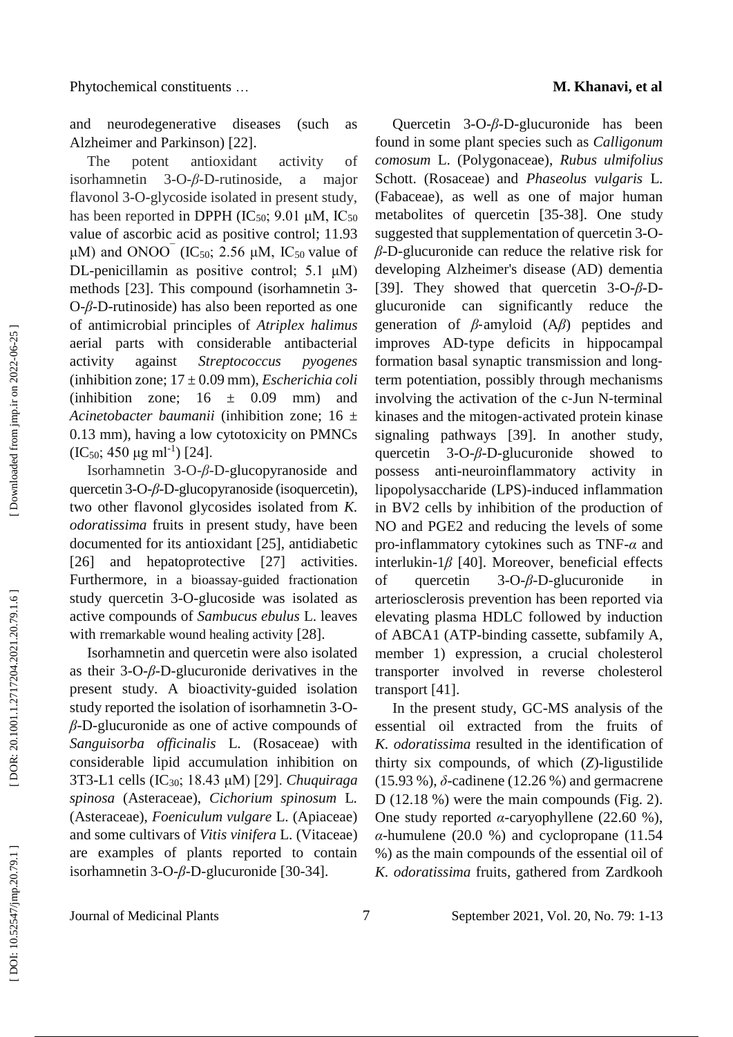and neurodegenerative diseases (such as Alzheimer and Parkinson) [22] .

The potent antioxidant activity of *isorhamnetin* - O -*β* - D -rutinoside, a major flavonol 3 - O -glycoside isolated in present study, has been reported in DPPH  $(IC_{50}; 9.01 \mu M, IC_{50})$ value of ascorbic acid as positive control; 11.93 μM) and ONOO (IC<sub>50</sub>; 2.56 μM, IC<sub>50</sub> value of DL -penicillamin as positive control; 5.1 μM) methods [23]. This compound (isorhamnetin 3 - O-β-D-rutinoside) has also been reported as one of antimicrobial principles of *Atriplex halimus* aerial parts with considerable antibacterial activity against *Streptococcus pyogenes* (inhibition zone; 17 ± 0.09 mm), *Escherichia coli* (inhibition zone;  $16 \pm 0.09$  mm) and *Acinetobacter baumanii* (inhibition zone; 16 ± 0.13 mm), having a low cytotoxicity on PMNCs  $(IC_{50}; 450 \mu g \text{ ml}^{-1})$  [24].

Isorhamnetin 3-O-β-D-glucopyranoside and quercetin 3-O-β-D-glucopyranoside (isoquercetin), two other flavonol glycosides isolated from *K. odoratissima* fruits in present study, have been documented for its antioxidant [25], antidiabetic [26] and hepatoprotective [27] activities. Furthermore, in a bioassay -guided fractionation study quercetin 3 - O -glucoside was isolated as active compounds of *Sambucus ebulus* L. leaves with rremarkable wound healing activity [28] .

Isorhamnetin and quercetin were also isolated as their  $3$ -O- $\beta$ -D-glucuronide derivatives in the present study. A bioactivity -guided isolation study reported the isolation of isorhamnetin 3 - O *β* - D -glucuronide as one of active compounds of *Sanguisorba officinalis* L. (Rosaceae) with considerable lipid accumulation inhibition on 3T3 -L1 cells (IC30; 18.43 μM) [29]. *Chuquiraga spinosa* (Asteraceae), *Cichorium spinosum*  L*.*  (Asteraceae), *Foeniculum vulgare* L. (Apiaceae) and some cultivars of *Vitis vinifera* L. (Vitaceae) are examples of plants reported to contain isorhamnetin 3-O-β-D-glucuronide [30-34].

Quercetin 3-O-β-D-glucuronide has been found in some plant species such as *Calligonum comosum* L. (Polygonaceae), *Rubus ulmifolius* Schott. (Rosaceae) and *Phaseolus vulgaris* L. (Fabaceae), as well as one of major human metabolites of quercetin [35 -38]. One study suggested that supplementation of quercetin 3-O*β* - D -glucuronide can reduce the relative risk for developing Alzheimer's disease (AD) dementia [39]. They showed that quercetin 3-O-β-Dglucuronide can significantly reduce the generation of *β*-amyloid (A*β*) peptides and improves AD ‐type deficits in hippocampal formation basal synaptic transmission and long ‐ term potentiation, possibly through mechanisms involving the activation of the c ‐Jun N ‐terminal kinases and the mitogen ‐activated protein kinase signaling pathways [39] . In another study, quercetin 3 - O -*β* - D -glucuronide showed to possess anti-neuroinflammatory activity in lipopolysaccharide (LPS) -induced inflammation in BV2 cells by inhibition of the production of NO and PGE2 and reducing the levels of some pro -inflammatory cytokines such as TNF - *α* and interlukin- $1\beta$  [40]. Moreover, beneficial effects of quercetin 3 - O -*β* - D -glucuronide in arteriosclerosis prevention has been reported via elevating plasma HDLC followed by induction of ABCA1 (ATP -binding cassette, subfamily A, member 1) expression, a crucial cholesterol transporter involved in reverse cholesterol transport [41] .

In the present study, GC -MS analysis of the essential oil extracted from the fruits of *K. odoratissima* resulted in the identification of thirty six compounds, of which (Z)-ligustilide (15.93 %), *δ* -cadinene (12.26 %) and germacrene D (12.18 %) were the main compounds (Fig. 2). One study reported *α* -caryophyllene (22.60 %),  $α$ -humulene (20.0 %) and cyclopropane (11.54 %) as the main compounds of the essential oil of *K. odoratissima* fruits, gathered from Zardkooh

7 September 202 1, Vol. 20, No. 7 9: 1 -13

DOI: 10.52547/jmp.20.79.1]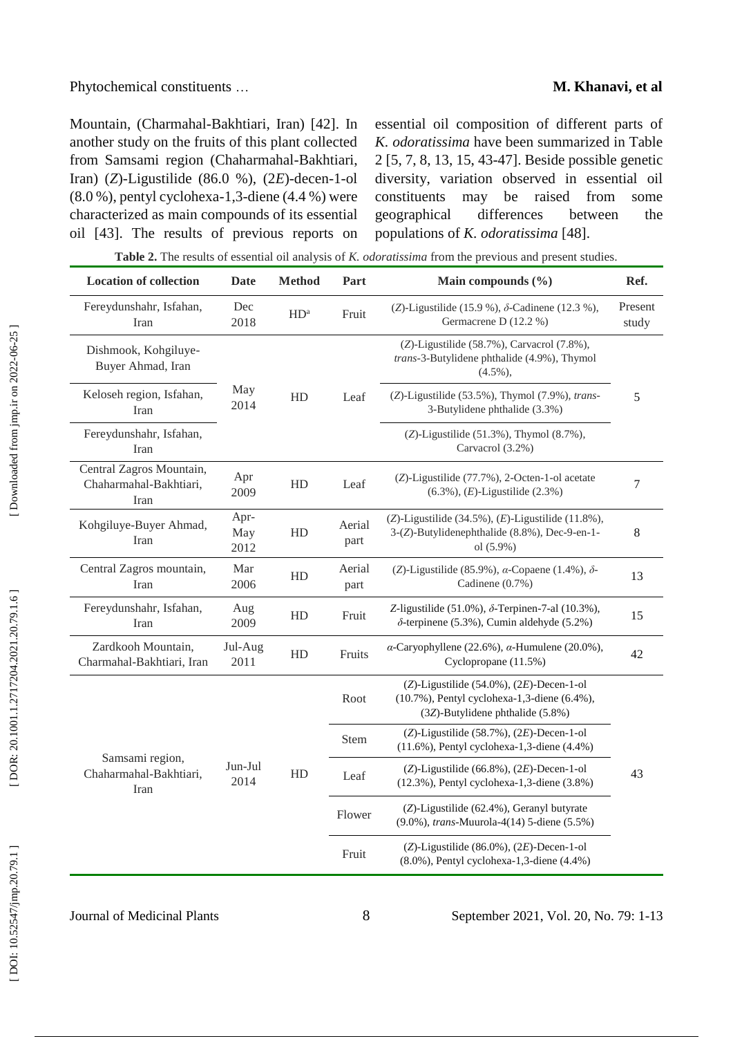### … **M. Khanavi, et al**

Mountain, (Charmahal -Bakhtiari, Iran) [42] . In another study on the fruits of this plant collected from Samsami region (Chaharmahal -Bakhtiari, Iran) (Z)-Ligustilide (86.0 %), (2E)-decen-1-ol (8.0 %), pentyl cyclohexa -1,3 -diene (4.4 %) were characterized as main compounds of its essential oil [43] . The results of previous reports on essential oil composition of different parts of *K. odoratissima* have been summarized in Table 2 [5, 7, 8, 13, 15, 43 -47]. Beside possible genetic diversity, variation observed in essential oil constituents may be raised from some geographical differences between the populations of *K. odoratissima* [48] .

**Table 2.** The results of essential oil analysis of *K. odoratissima* from the previous and present studies.

| <b>Location of collection</b>                              | Date                | <b>Method</b>   | Part           | Main compounds $(\% )$                                                                                                         | Ref.             |
|------------------------------------------------------------|---------------------|-----------------|----------------|--------------------------------------------------------------------------------------------------------------------------------|------------------|
| Fereydunshahr, Isfahan,<br>Iran                            | Dec<br>2018         | HD <sup>a</sup> | Fruit          | (Z)-Ligustilide (15.9 %), $\delta$ -Cadinene (12.3 %),<br>Germacrene D (12.2 %)                                                | Present<br>study |
| Dishmook, Kohgiluye-<br>Buyer Ahmad, Iran                  |                     |                 |                | (Z)-Ligustilide (58.7%), Carvacrol (7.8%),<br>trans-3-Butylidene phthalide (4.9%), Thymol<br>$(4.5\%)$ ,                       |                  |
| Keloseh region, Isfahan,<br>Iran                           | May<br>2014         | HD              | Leaf           | (Z)-Ligustilide (53.5%), Thymol (7.9%), trans-<br>3-Butylidene phthalide (3.3%)                                                | 5                |
| Fereydunshahr, Isfahan,<br>Iran                            |                     |                 |                | $(Z)$ -Ligustilide (51.3%), Thymol (8.7%),<br>Carvacrol (3.2%)                                                                 |                  |
| Central Zagros Mountain,<br>Chaharmahal-Bakhtiari,<br>Iran | Apr<br>2009         | HD              | Leaf           | (Z)-Ligustilide (77.7%), 2-Octen-1-ol acetate<br>$(6.3\%)$ , $(E)$ -Ligustilide $(2.3\%)$                                      | 7                |
| Kohgiluye-Buyer Ahmad,<br>Iran                             | Apr-<br>May<br>2012 | HD              | Aerial<br>part | (Z)-Ligustilide $(34.5\%)$ , $(E)$ -Ligustilide $(11.8\%)$ ,<br>3-(Z)-Butylidenephthalide (8.8%), Dec-9-en-1-<br>ol (5.9%)     | 8                |
| Central Zagros mountain,<br>Iran                           | Mar<br>2006         | HD              | Aerial<br>part | (Z)-Ligustilide (85.9%), $\alpha$ -Copaene (1.4%), $\delta$ -<br>Cadinene (0.7%)                                               | 13               |
| Fereydunshahr, Isfahan,<br>Iran                            | Aug<br>2009         | HD              | Fruit          | Z-ligustilide (51.0%), $\delta$ -Terpinen-7-al (10.3%),<br>$\delta$ -terpinene (5.3%), Cumin aldehyde (5.2%)                   | 15               |
| Zardkooh Mountain,<br>Charmahal-Bakhtiari, Iran            | Jul-Aug<br>2011     | HD              | Fruits         | $\alpha$ -Caryophyllene (22.6%), $\alpha$ -Humulene (20.0%),<br>Cyclopropane (11.5%)                                           | 42               |
|                                                            | Jun-Jul<br>2014     | HD              | Root           | $(Z)$ -Ligustilide (54.0%), (2E)-Decen-1-ol<br>(10.7%), Pentyl cyclohexa-1,3-diene (6.4%),<br>(3Z)-Butylidene phthalide (5.8%) |                  |
|                                                            |                     |                 | Stem           | (Z)-Ligustilide $(58.7\%)$ , $(2E)$ -Decen-1-ol<br>$(11.6\%)$ , Pentyl cyclohexa-1,3-diene $(4.4\%)$                           |                  |
| Samsami region,<br>Chaharmahal-Bakhtiari,<br>Iran          |                     |                 | Leaf           | $(Z)$ -Ligustilide (66.8%), (2E)-Decen-1-ol<br>(12.3%), Pentyl cyclohexa-1,3-diene (3.8%)                                      | 43               |
|                                                            |                     |                 | Flower         | (Z)-Ligustilide (62.4%), Geranyl butyrate<br>(9.0%), trans-Muurola-4(14) 5-diene (5.5%)                                        |                  |
|                                                            |                     |                 | Fruit          | $(Z)$ -Ligustilide (86.0%), (2E)-Decen-1-ol<br>(8.0%), Pentyl cyclohexa-1,3-diene (4.4%)                                       |                  |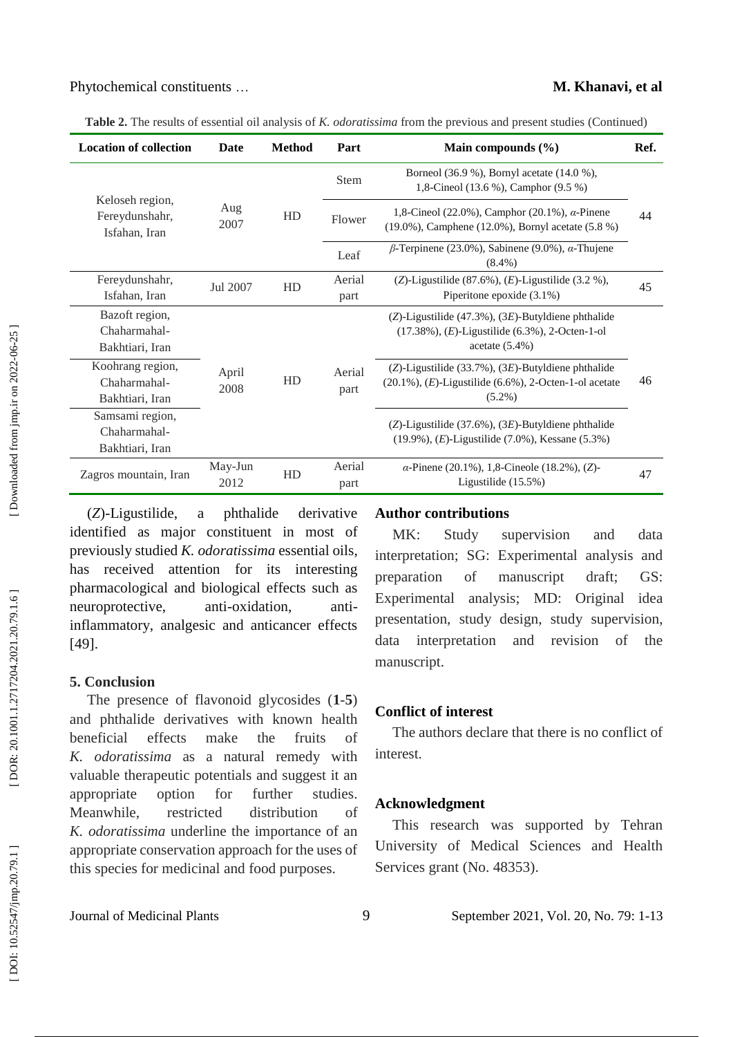**Table 2.** The results of essential oil analysis of *K. odoratissima* from the previous and present studies (Continued)

| <b>Location of collection</b>                                        | Date            | <b>Method</b> | Part           | Main compounds $(\% )$                                                                                                                 | Ref. |
|----------------------------------------------------------------------|-----------------|---------------|----------------|----------------------------------------------------------------------------------------------------------------------------------------|------|
|                                                                      | Aug<br>2007     | HD            | <b>Stem</b>    | Borneol (36.9 %), Bornyl acetate (14.0 %),<br>1,8-Cineol (13.6 %), Camphor (9.5 %)                                                     | 44   |
| Keloseh region,<br>Fereydunshahr,<br>Isfahan, Iran                   |                 |               | Flower         | 1,8-Cineol (22.0%), Camphor (20.1%), $\alpha$ -Pinene<br>$(19.0\%)$ , Camphene $(12.0\%)$ , Bornyl acetate $(5.8\%)$                   |      |
|                                                                      |                 |               | Leaf           | $\beta$ -Terpinene (23.0%), Sabinene (9.0%), $\alpha$ -Thujene<br>$(8.4\%)$                                                            |      |
| Fereydunshahr,<br>Isfahan, Iran                                      | Jul 2007        | HD            | Aerial<br>part | (Z)-Ligustilide $(87.6\%)$ , $(E)$ -Ligustilide $(3.2\%)$ ,<br>Piperitone epoxide (3.1%)                                               | 45   |
| Bazoft region,<br>Chaharmahal-<br>Bakhtiari, Iran                    |                 |               |                | $(Z)$ -Ligustilide (47.3%), (3E)-Butyldiene phthalide<br>$(17.38\%), (E)$ -Ligustilide $(6.3\%)$ , 2-Octen-1-ol<br>acetate $(5.4\%)$   |      |
| Koohrang region,<br>April<br>Chaharmahal-<br>2008<br>Bakhtiari, Iran |                 | HD            | Aerial<br>part | $(Z)$ -Ligustilide (33.7%), (3E)-Butyldiene phthalide<br>$(20.1\%)$ , $(E)$ -Ligustilide $(6.6\%)$ , 2-Octen-1-ol acetate<br>$(5.2\%)$ | 46   |
| Samsami region,<br>Chaharmahal-<br>Bakhtiari, Iran                   |                 |               |                | $(Z)$ -Ligustilide (37.6%), (3E)-Butyldiene phthalide<br>$(19.9\%)$ , $(E)$ -Ligustilide $(7.0\%)$ , Kessane $(5.3\%)$                 |      |
| Zagros mountain, Iran                                                | May-Jun<br>2012 | HD            | Aerial<br>part | $\alpha$ -Pinene (20.1%), 1,8-Cineole (18.2%), (Z)-<br>Ligustilide $(15.5\%)$                                                          | 47   |

( *Z*) a phthalide derivative identified as major constituent in most of previously studied *K. odoratissima* essential oils, has received attention for its interesting pharmacological and biological effects such as neuroprotective, anti-oxidation. antiinflammatory, analgesic and anticancer effects [49] .

## **5. Conclusion**

The presence of flavonoid glycosides ( **1** - **5**) and phthalide derivatives with known health beneficial effects make the fruits of *K. odoratissima* as a natural remedy with valuable therapeutic potentials and suggest it an appropriate option for further studies. Meanwhile, restricted distribution of *K. odoratissima* underline the importance of an appropriate conservation approach for the uses of this species for medicinal and food purposes.

### **Author contributions**

MK: Study supervision and data interpretation; SG: Experimental analysis and preparation of manuscript draft; GS: Experimental analysis; MD: Original idea presentation, study design, study supervision, data interpretation and revision of the manuscript.

### **Conflict of interest**

The authors declare that there is no conflict of interest.

### **Acknowledgment**

This research was supported by Tehran University of Medical Sciences and Health Services grant (No. 48353).

Downloaded from jmp.ir on 2022-06-25 ]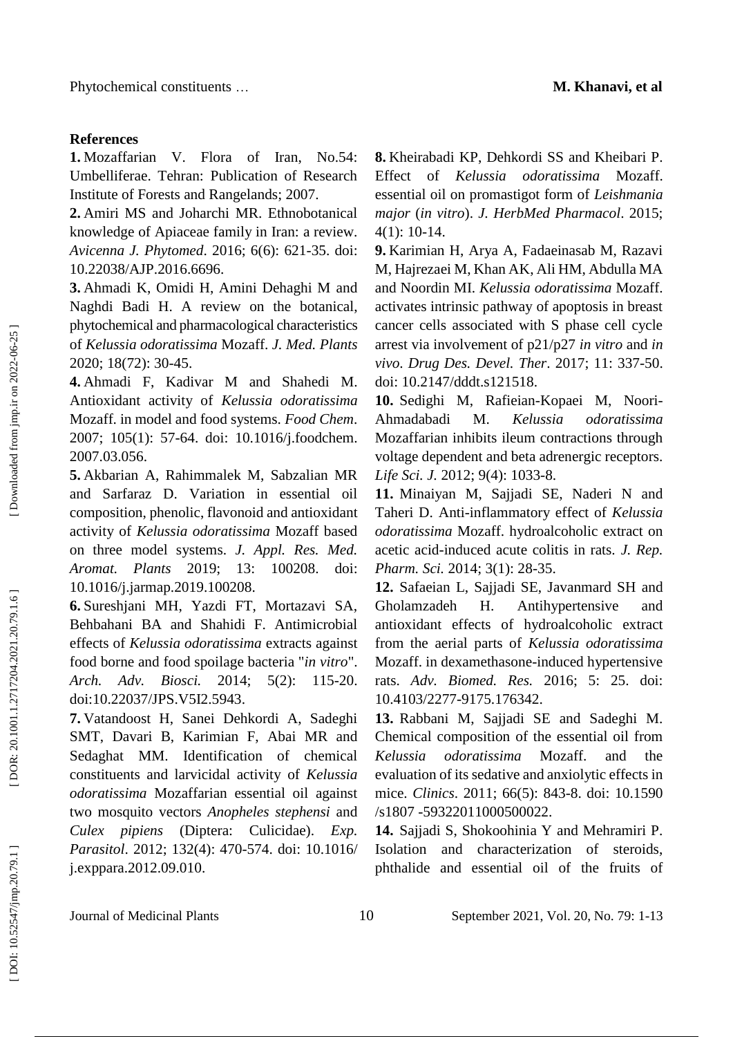### **References**

**1.** Mozaffarian V. Flora of Iran, No.54: Umbelliferae. Tehran: Publication of Research Institute of Forests and Rangelands; 2007.

**2.** Amiri MS and Joharchi MR. Ethnobotanical knowledge of Apiaceae family in Iran: a review. *Avicenna J. Phytomed*. 2016; 6(6): 621 -35. doi: 10.22038/AJP.2016.6696 .

**3 .** Ahmadi K, Omidi H, Amini Dehaghi M and Naghdi Badi H. A review on the botanical, phytochemical and pharmacological characteristics of *Kelussia odoratissima* Mozaff. *J. Med. Plants* 2020; 18(72): 30 -45.

**4 .** Ahmadi F, Kadivar M and Shahedi M. Antioxidant activity of *Kelussia odoratissima* Mozaff. in model and food systems. *Food Chem*. 2007; 105(1): 57 -64. doi: 10.1016/j.foodchem. 2007.03.056 .

**5 .** Akbarian A, Rahimmalek M, Sabzalian MR and Sarfaraz D. Variation in essential oil composition, phenolic, flavonoid and antioxidant activity of *Kelussia odoratissima* Mozaff based on three model systems. *J. Appl. Res. Med. Aromat. Plants* 2019; 13: 100208. doi: 10.1016/j.jarmap.2019.100208 .

**6 .** Sureshjani MH, Yazdi FT, Mortazavi SA, Behbahani BA and Shahidi F. Antimicrobial effects of *Kelussia odoratissima* extracts against food borne and food spoilage bacteria "*in vitro*". *Arch. Adv. Biosci.* 2014: 5(2): 115-20. doi:10.22037/JPS.V5I2.5943 .

**7 .** Vatandoost H, Sanei Dehkordi A, Sadeghi SMT, Davari B, Karimian F, Abai M R and Sedaghat MM. Identification of chemical constituents and larvicidal activity of *Kelussia odoratissima* Mozaffarian essential oil against two mosquito vectors *Anopheles stephensi* and *Culex pipiens* (Diptera: Culicidae). *Exp. Parasitol*. 2012; 132(4): 470 -574. doi: 10.1016/ j.exppara.2012.09.010.

**8 .** Kheirabadi KP, Dehkordi SS and Kheibari P. Effect of *Kelussia odoratissima* Mozaff . essential oil on promastigot form of *Leishmania major* (*in vitro*). *J. HerbMed Pharmacol*. 2015; 4(1): 10 -14.

**9 .** Karimian H, Arya A, Fadaeinasab M, Razavi M, Hajrezaei M, Khan AK , Ali HM, Abdulla MA and Noordin MI. *Kelussia odoratissima* Mozaff. activates intrinsic pathway of apoptosis in breast cancer cells associated with S phase cell cycle arrest via involvement of p21/p27 *in vitro* and *in vivo*. *Drug Des. Devel. Ther*. 2017; 11: 337 -50. doi: 10.2147/dddt.s121518 .

**10 .** Sedighi M, Rafieian -Kopaei M, Noori - Ahmadabadi M. *Kelussia odoratissima* Mozaffarian inhibits ileum contractions through voltage dependent and beta adrenergic receptors. Life Sci. J. 2012; 9(4): 1033-8.

**11 .** Minaiyan M, Sajjadi SE, Naderi N and Taheri D. Anti -inflammatory effect of *Kelussia odoratissima* Mozaff. hydroalcoholic extract on acetic acid -induced acute colitis in rats. *J. Rep. Pharm. Sci.* 2014; 3(1): 28 -35.

**12 .** Safaeian L, Sajjadi SE, Javanmard SH and Gholamzadeh H. Antihypertensive and antioxidant effects of hydroalcoholic extract from the aerial parts of *Kelussia odoratissima* Mozaff. in dexamethasone -induced hypertensive rats. *Adv. Biomed. Res.* 2016; 5: 25. doi: 10.4103/2277 -9175.176342 .

**13 .** Rabbani M, Sajjadi SE and Sadeghi M. Chemical composition of the essential oil from *Kelussia odoratissima* Mozaff. and the evaluation of its sedative and anxiolytic effects in mice. *Clinics*. 2011; 66(5): 843 -8. doi: 10.1590 /s1807 -59322011000500022 .

**14 .** Sajjadi S, Shokoohinia Y and Mehramiri P. Isolation and characterization of steroids, phthalide and essential oil of the fruits of

Journal of Medicinal Plants 10 September 2021, Vol. 20, No. 79: 1 -13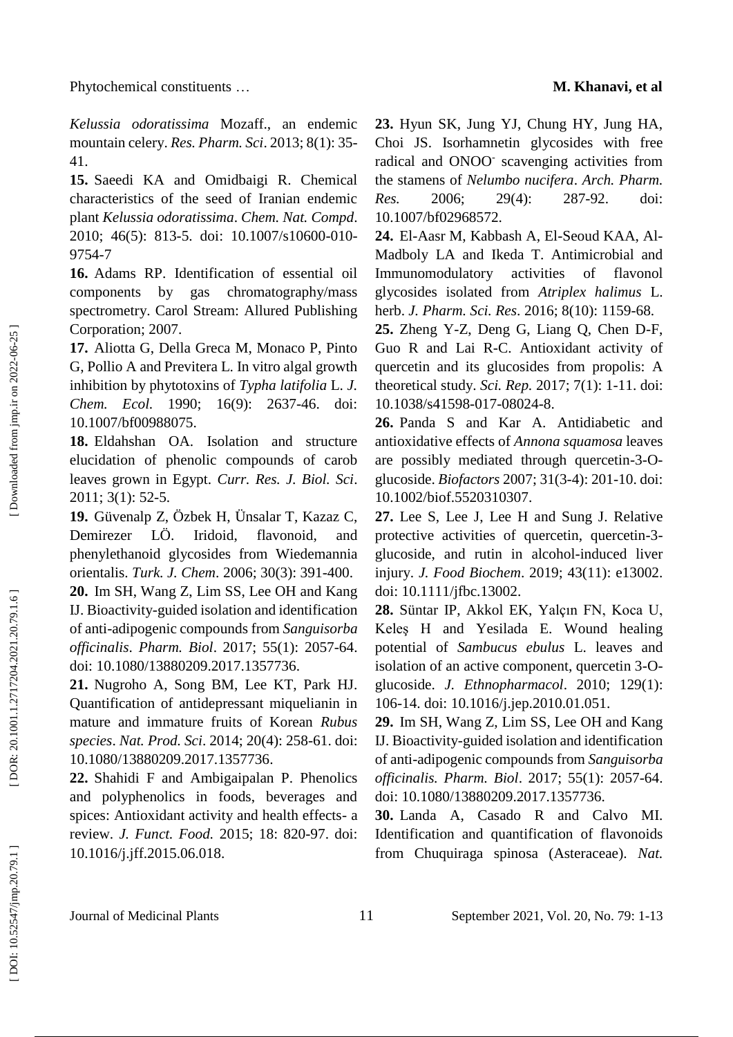*Kelussia odoratissima* Mozaff., an endemic mountain celery. *Res. Pharm. Sci*. 2013; 8(1): 35 - 41.

**15 .** Saeedi KA and Omidbaigi R. Chemical characteristics of the seed of Iranian endemic plant *Kelussia odoratissima*. *Chem. Nat. Compd*. 2010; 46(5): 813-5. doi: 10.1007/s10600-010-9754 - 7

**16 .** Adams RP. Identification of essential oil components by gas chromatography/mass spectrometry. Carol Stream: Allured Publishing Corporation; 2007.

**17 .** Aliotta G, Della Greca M, Monaco P, Pinto G, Pollio A and Previtera L. In vitro algal growth inhibition by phytotoxins of *Typha latifolia* L. *J. Chem. Ecol.* 1990; 16(9): 2637 -46. doi: 10.1007/bf00988075 .

**18 .** Eldahshan OA. Isolation and structure elucidation of phenolic compounds of carob leaves grown in Egypt. *Curr. Res. J. Biol. Sci*. 2011; 3(1): 52 -5.

**19 .** Güvenalp Z, Özbek H, Ünsalar T, Kazaz C, Demirezer LÖ. Iridoid, flavonoid, and phenylethanoid glycosides from Wiedemannia orientalis. *Turk. J. Chem*. 2006; 30(3): 391 -400.

**20 .** Im SH, Wang Z, Lim SS, Lee OH and Kang IJ. Bioactivity -guided isolation and identification of anti -adipogenic compounds from *Sanguisorba officinalis*. *Pharm. Biol*. 2017; 55(1): 2057 -64. doi: 10.1080/13880209.2017.1357736 .

**21 .** Nugroho A, Song BM, Lee KT, Park HJ. Quantification of antidepressant miquelianin in mature and immature fruits of Korean *Rubus species*. *Nat. Prod. Sci*. 2014; 20(4): 258 -61. doi: 10.1080/13880209.2017.1357736 .

**22 .** Shahidi F and Ambigaipalan P. Phenolics and polyphenolics in foods, beverages and spices: Antioxidant activity and health effects- a review. *J. Funct. Food.* 2015; 18: 820 -97. doi: 10.1016/j.jff.2015.06.018 .

**23 .** Hyun SK, Jung YJ, Chung HY, Jung HA, Choi JS. Isorhamnetin glycosides with free radical and ONOO - scavenging activities from the stamens of *Nelumbo nucifera*. *Arch. Pharm. Res.* 2006; 29(4): 287-92. doi: 10.1007/bf02968572 .

24. El-Aasr M, Kabbash A, El-Seoud KAA, Al-Madboly LA and Ikeda T. Antimicrobial and Immunomodulatory activities of flavonol glycosides isolated from *Atriplex halimus* L. herb. *J. Pharm. Sci. Res*. 2016; 8(10): 1159 -68.

**25 .** Zheng Y -Z, Deng G, Liang Q, Chen D -F, Guo R and Lai R -C. Antioxidant activity of quercetin and its glucosides from propolis: A theoretical study. *Sci. Rep.* 2017; 7(1): 1 -11. doi: 10.1038/s41598 -017 -08024 - 8 .

**26 .** Panda S and Kar A. Antidiabetic and antioxidative effects of *Annona squamosa* leaves are possibly mediated through quercetin-3-Oglucoside. *Biofactors* 2007; 31(3 -4): 201 -10. doi: 10.1002/biof.5520310307 .

**27 .** Lee S, Lee J, Lee H and Sung J. Relative protective activities of quercetin, quercetin-3glucoside, and rutin in alcohol -induced liver injury. *J. Food Biochem*. 2019; 43(11): e13002. doi: 10.1111/jfbc.13002 .

**28 .** Süntar IP, Akkol EK, Yalçın FN, Koca U, Keleş H and Yesilada E. Wound healing potential of *Sambucus ebulus* L. leaves and isolation of an active component, quercetin 3-Oglucoside. *J. Ethnopharmacol*. 2010; 129(1): 106 -14. doi: 10.1016/j.jep.2010.01.051 .

**29 .** Im SH, Wang Z, Lim SS, Lee OH and Kang IJ. Bioactivity -guided isolation and identification of anti -adipogenic compounds from *Sanguisorba officinalis. Pharm. Biol*. 2017; 55(1): 2057 -64. doi: 10.1080/13880209.2017.1357736.

**30 .** Landa A, Casado R and Calvo MI. Identification and quantification of flavonoids from Chuquiraga spinosa (Asteraceae). *Nat.*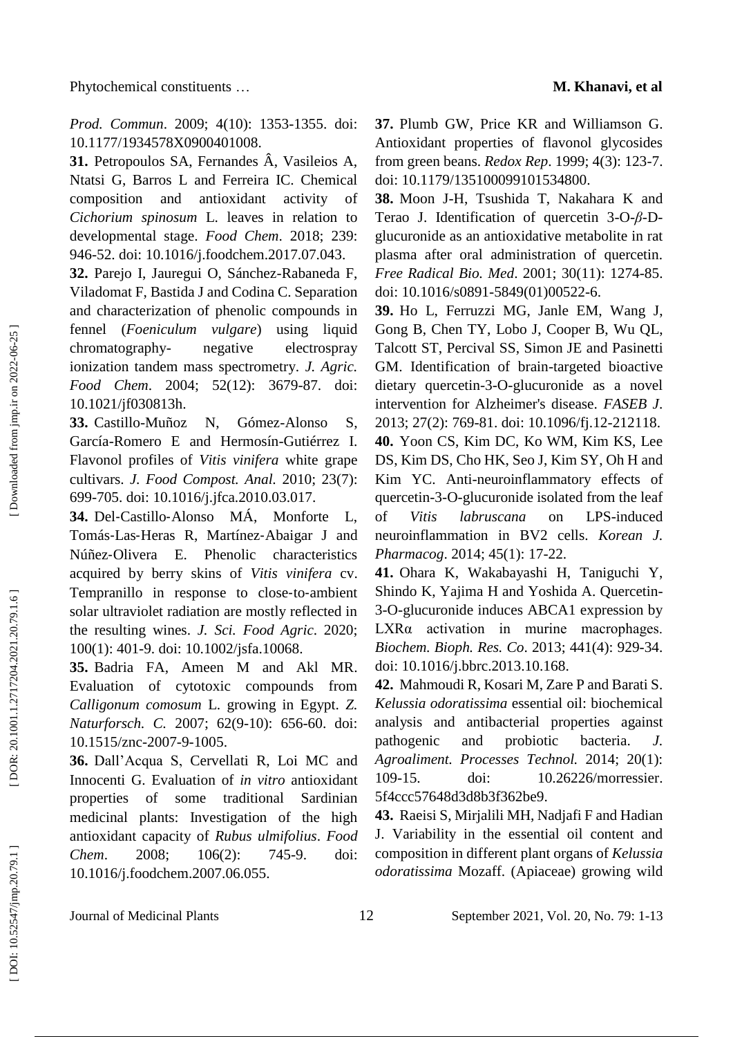*Prod. Commun*. 2009; 4(10): 1353 -1355. doi: 10.1177/1934578X0900401008 .

**31 .** Petropoulos SA, Fernandes Â, Vasileios A, Ntatsi G, Barros L and Ferreira IC. Chemical composition and antioxidant activity of *Cichorium spinosum* L. leaves in relation to developmental stage. *Food Chem*. 2018; 239: 946 -52. doi: 10.1016/j.foodchem.2017.07.043 .

**32 .** Parejo I, Jauregui O, Sánchez -Rabaneda F, Viladomat F, Bastida J and Codina C. Separation and characterization of phenolic compounds in fennel (*Foeniculum vulgare*) using liquid chromatography negative electrospray ionization tandem mass spectrometry. *J. Agric. Food Chem*. 2004; 52(12): 3679 -87. doi: 10.1021/jf030813h.

**33 .** Castillo -Muñoz N, Gómez Gómez-Alonso S, García -Romero E and Hermosín -Gutiérrez I. Flavonol profiles of *Vitis vinifera* white grape cultivars. *J. Food Compost. Anal.* 2010; 23(7): 699 -705. doi: 10.1016/j.jfca.2010.03.017.

**34 .** Del ‐Castillo Monforte L, Tomás ‐Las ‐Heras R, Martínez ‐Abaigar J and Núñez E. Phenolic characteristics acquired by berry skins of *Vitis vinifera* cv. Tempranillo in response to close-to-ambient solar ultraviolet radiation are mostly reflected in the resulting wines. *J. Sci. Food Agric*. 2020; 100(1): 401 -9. doi: 10.1002/jsfa.10068 .

**35 .** Badria FA, Ameen M and Akl MR. Evaluation of cytotoxic compounds from *Calligonum comosum* L. growing in Egypt. *Z. Naturforsch. C.* 2007; 62(9 -10): 656 -60. doi: 10.1515/znc -2007 - 9 -1005 .

**36 .** Dall'Acqua S, Cervellati R, Loi MC and Innocenti G. Evaluation of *in vitro* antioxidant properties of some traditional Sardinian medicinal plants: Investigation of the high antioxidant capacity of *Rubus ulmifolius*. *Food Chem.* 2008; 106(2): 745-9. doi: 10.1016/j.foodchem.2007.06.055 .

**37 .** Plumb GW, Price KR and Williamson G. Antioxidant properties of flavonol glycosides from green beans. *Redox Rep*. 1999; 4(3): 123 -7. doi: 10.1179/135100099101534800.

**38 .** Moon J -H, Tsushida T, Nakahara K and Terao J. Identification of quercetin 3-O-β-Dglucuronide as an antioxidative metabolite in rat plasma after oral administration of quercetin. *Free Radical Bio. Med*. 2001; 30(11): 1274 -85. doi: 10.1016/s0891 -5849(01)00522 -6.

**39 .** Ho L, Ferruzzi MG, Janle EM, Wang J, Gong B, Chen TY, Lobo J, [Cooper](https://pubmed.ncbi.nlm.nih.gov/?term=Cooper+B&cauthor_id=23097297) B, [Wu](https://pubmed.ncbi.nlm.nih.gov/?term=Wu+QL&cauthor_id=23097297) QL, [Talcott](https://pubmed.ncbi.nlm.nih.gov/?term=Talcott+ST&cauthor_id=23097297) ST, [Percival](https://pubmed.ncbi.nlm.nih.gov/?term=Percival+SS&cauthor_id=23097297) SS, [Simon](https://pubmed.ncbi.nlm.nih.gov/?term=Simon+JE&cauthor_id=23097297) JE and [Pasinetti](https://pubmed.ncbi.nlm.nih.gov/?term=Pasinetti+GM&cauthor_id=23097297) GM. Identification of brain -targeted bioactive dietary quercetin - 3 - O -glucuronide as a novel intervention for Alzheimer's disease. *FASEB J*. 2013; 27(2): 769 -81. doi: 10.1096/fj.12 -212118 . **40 .** Yoon CS, Kim DC, Ko WM, Kim KS, Lee DS, Kim DS, Cho HK, Seo J, Kim SY, Oh H and Kim YC. Anti -neuroinflammatory effects of quercetin - 3 - O -glucuronide isolated from the leaf of *Vitis labruscana* on LPS-induced neuroinflammation in BV2 cells. *Korean J. Pharmacog*. 2014; 45(1): 17 -22.

**41 .** Ohara K, Wakabayashi H, Taniguchi Y, Shindo K, Yajima H and Yoshida A. Quercetin - 3 - O -glucuronide induces ABCA1 expression by LXRα activation in murine macrophages. *Biochem. Bioph. Res. Co*. 2013; 441(4): 929 -34. doi: 10.1016/j.bbrc.2013.10.168 .

**42 .** Mahmoudi R, Kosari M, Zare P and Barati S. *Kelussia odoratissima* essential oil: biochemical analysis and antibacterial properties against pathogenic and probiotic bacteria. *J. Agroaliment. Processes Technol.* 2014; 20(1): 109-15. doi: 10.26226/morressier. 5f4ccc57648d3d8b3f362be9 .

**43 .** Raeisi S, Mirjalili MH, Nadjafi F and Hadian J. Variability in the essential oil content and composition in different plant organs of *Kelussia odoratissima* Mozaff. (Apiaceae) growing wild

Journal of Medicinal Plants 12

1, Vol. 20, No. 7 9: 1 -13

Downloaded from jmp.ir on 2022-06-25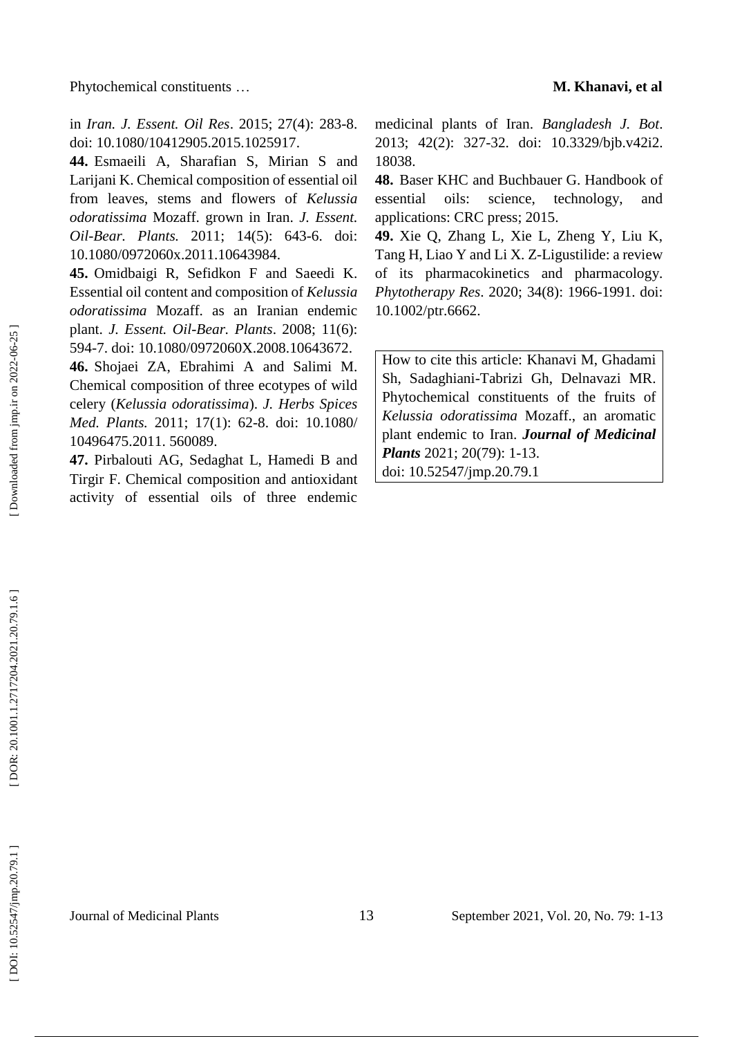in *Iran. J. Essent. Oil Res*. 2015; 27(4): 283 -8. doi: 10.1080/10412905.2015.1025917 .

**44 .** Esmaeili A, Sharafian S, Mirian S and Larijani K. Chemical composition of essential oil from leaves, stems and flowers of *Kelussia odoratissima* Mozaff. grown in Iran. *J. Essent. Oil -Bear. Plants.* 2011; 14(5): 643 -6. doi: 10.1080/0972060x.2011.10643984.

**45 .** Omidbaigi R, Sefidkon F and Saeedi K. Essential oil content and composition of *Kelussia odoratissima* Mozaff. as an Iranian endemic plant. *J. Essent. Oil -Bear. Plants*. 2008; 11(6): 594 -7. doi: 10.1080/0972060X.2008.10643672 .

**46 .** Shojaei ZA, Ebrahimi A and Salimi M. Chemical composition of three ecotypes of wild celery (*Kelussia odoratissima*). *J. Herbs Spices Med. Plants.* 2011; 17(1): 62 -8. doi: 10.1080/ 10496475.2011. 560089 .

**47 .** Pirbalouti AG, Sedaghat L, Hamedi B and Tirgir F. Chemical composition and antioxidant activity of essential oils of three endemic medicinal plants of Iran. *Bangladesh J. Bot*. 2013; 42(2): 327 -32. doi: 10.3329/bjb.v42i2. 18038 .

**48 .** Baser KHC and Buchbauer G. Handbook of essential oils: science, technology, and applications: CRC press; 2015.

**49 .** Xie Q, Zhang L, Xie L, Zheng Y, Liu K, Tang H, Liao Y and Li X. Z - Ligustilide: a review of its pharmacokinetics and pharmacology. *Phytotherapy Res*. 2020; 34(8): 1966 -1991. doi: 10.1002/ptr.6662 .

How to cite this article: Khanavi M, Ghadami Sh, Sadaghiani -Tabrizi Gh, Delnavazi MR . Phytochemical constituents of the fruits of *Kelussia odoratissima* Mozaff., an aromatic plant endemic to Iran . *Journal of Medicinal*  Plants 2021; 20(79): 1-13. doi: [10.52547/jmp.20.79.1](http://dx.doi.org/10.52547/jmp.20.79.1)

Downloaded from jmp.ir on 2022-06-25